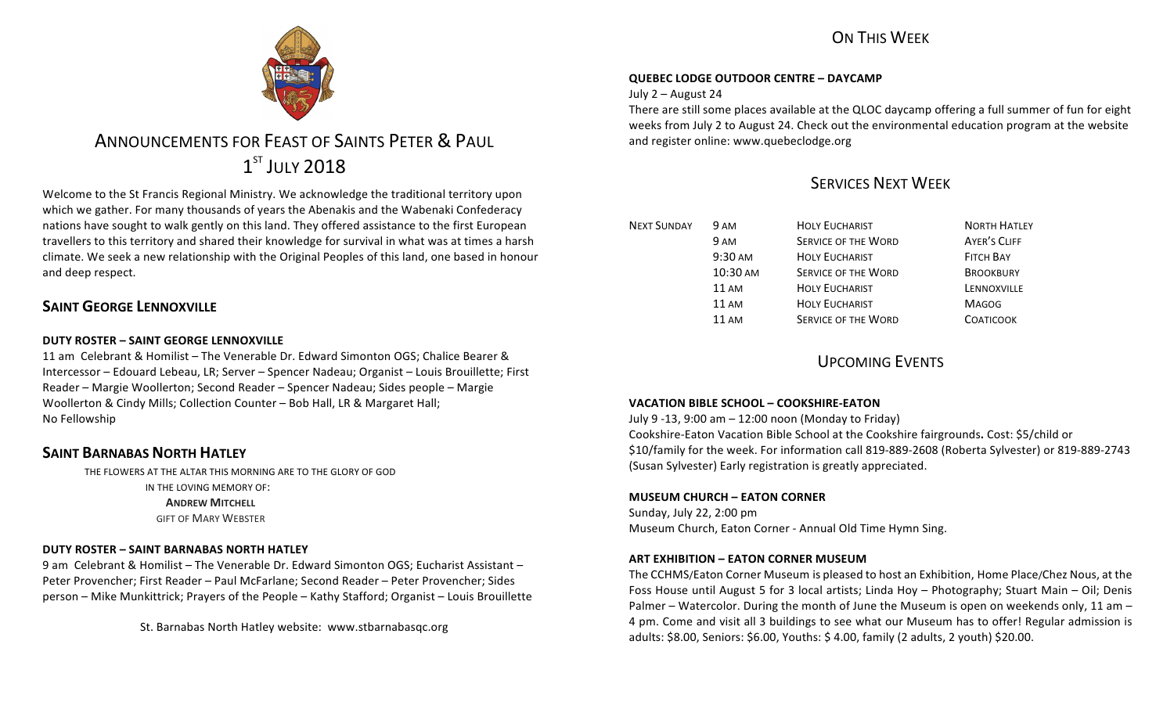## ON THIS WFFK



# ANNOUNCEMENTS FOR FEAST OF SAINTS PETER & PAUL  $1^{ST}$  JULY 2018

Welcome to the St Francis Regional Ministry. We acknowledge the traditional territory upon which we gather. For many thousands of years the Abenakis and the Wabenaki Confederacy nations have sought to walk gently on this land. They offered assistance to the first European travellers to this territory and shared their knowledge for survival in what was at times a harsh climate. We seek a new relationship with the Original Peoples of this land, one based in honour and deep respect.

## **SAINT GEORGE LENNOXVILLE**

## **DUTY ROSTER – SAINT GEORGE LENNOXVILLE**

11 am Celebrant & Homilist – The Venerable Dr. Edward Simonton OGS: Chalice Bearer & Intercessor – Edouard Lebeau, LR; Server – Spencer Nadeau; Organist – Louis Brouillette; First Reader – Margie Woollerton; Second Reader – Spencer Nadeau; Sides people – Margie Woollerton & Cindy Mills; Collection Counter - Bob Hall, LR & Margaret Hall; No Fellowship

## **SAINT BARNABAS NORTH HATLEY**

THE FLOWERS AT THE ALTAR THIS MORNING ARE TO THE GLORY OF GOD IN THE LOVING MEMORY OF: **ANDREW MITCHELL GIFT OF MARY WEBSTER** 

## **DUTY ROSTER – SAINT BARNABAS NORTH HATLEY**

9 am Celebrant & Homilist – The Venerable Dr. Edward Simonton OGS; Eucharist Assistant – Peter Provencher; First Reader - Paul McFarlane; Second Reader - Peter Provencher; Sides person – Mike Munkittrick; Prayers of the People – Kathy Stafford; Organist – Louis Brouillette

St. Barnabas North Hatley website: www.stbarnabasqc.org

## **QUEBEC LODGE OUTDOOR CENTRE – DAYCAMP**

July 2 - August 24

There are still some places available at the QLOC daycamp offering a full summer of fun for eight weeks from July 2 to August 24. Check out the environmental education program at the website and register online: www.quebeclodge.org

## SERVICES NEXT WEEK

| <b>NEXT SUNDAY</b> | 9 AM            | <b>HOLY EUCHARIST</b>      | <b>NORTH HATLEY</b> |
|--------------------|-----------------|----------------------------|---------------------|
|                    | 9 AM            | <b>SERVICE OF THE WORD</b> | <b>AYER'S CLIFF</b> |
|                    | 9:30 AM         | <b>HOLY EUCHARIST</b>      | <b>FITCH BAY</b>    |
|                    | 10:30 AM        | <b>SERVICE OF THE WORD</b> | <b>BROOKBURY</b>    |
|                    | $11 \text{ AM}$ | <b>HOLY EUCHARIST</b>      | LENNOXVILLE         |
|                    | <b>11 AM</b>    | <b>HOLY EUCHARIST</b>      | <b>MAGOG</b>        |
|                    | 11 AM           | <b>SERVICE OF THE WORD</b> | <b>COATICOOK</b>    |

**UPCOMING EVENTS** 

## **VACATION BIBLE SCHOOL – COOKSHIRE-EATON**

July 9 -13, 9:00 am – 12:00 noon (Monday to Friday) Cookshire-Eaton Vacation Bible School at the Cookshire fairgrounds**.** Cost: \$5/child or \$10/family for the week. For information call 819-889-2608 (Roberta Sylvester) or 819-889-2743 (Susan Sylvester) Early registration is greatly appreciated.

## **MUSEUM CHURCH – EATON CORNER**

Sunday, July 22, 2:00 pm Museum Church, Eaton Corner - Annual Old Time Hymn Sing.

## **ART EXHIBITION – EATON CORNER MUSEUM**

The CCHMS/Eaton Corner Museum is pleased to host an Exhibition, Home Place/Chez Nous, at the Foss House until August 5 for 3 local artists; Linda Hoy – Photography; Stuart Main – Oil; Denis Palmer – Watercolor. During the month of June the Museum is open on weekends only, 11 am – 4 pm. Come and visit all 3 buildings to see what our Museum has to offer! Regular admission is adults: \$8.00, Seniors: \$6.00, Youths: \$ 4.00, family (2 adults, 2 youth) \$20.00.